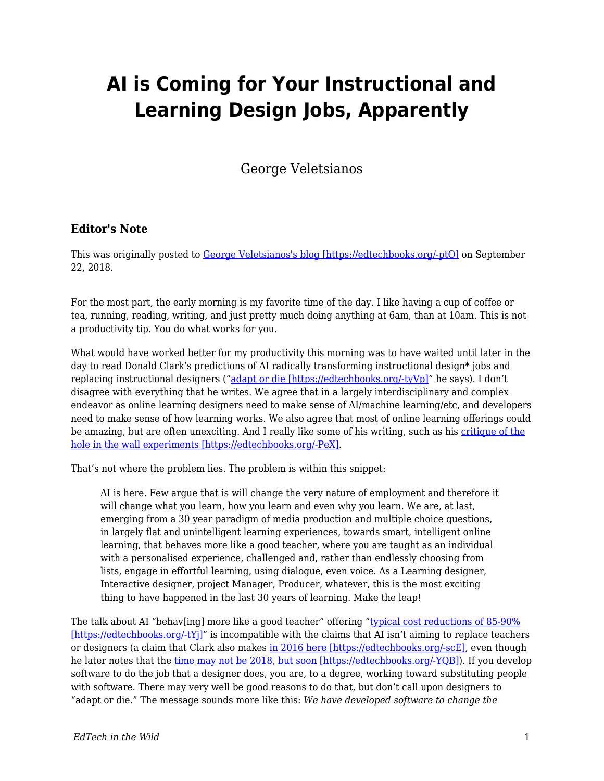## **AI is Coming for Your Instructional and Learning Design Jobs, Apparently**

George Veletsianos

## **Editor's Note**

This was originally posted to [George Veletsianos's blog \[https://edtechbooks.org/-ptQ\]](http://www.veletsianos.com/2018/09/22/ai-is-coming-for-your-instructional-and-learning-design-jobs-apparently/) on September 22, 2018.

For the most part, the early morning is my favorite time of the day. I like having a cup of coffee or tea, running, reading, writing, and just pretty much doing anything at 6am, than at 10am. This is not a productivity tip. You do what works for you.

What would have worked better for my productivity this morning was to have waited until later in the day to read Donald Clark's predictions of AI radically transforming instructional design\* jobs and replacing instructional designers (["adapt or die \[https://edtechbooks.org/-tyVp\]"](http://donaldclarkplanb.blogspot.com/2018/09/learning-designers-will-have-to-adapt.html) he says). I don't disagree with everything that he writes. We agree that in a largely interdisciplinary and complex endeavor as online learning designers need to make sense of AI/machine learning/etc, and developers need to make sense of how learning works. We also agree that most of online learning offerings could be amazing, but are often unexciting. And I really like some of his writing, such as his [critique of the](http://donaldclarkplanb.blogspot.com/2013/03/sugata-mitra-slum-chic-7-reasons-for.html) [hole in the wall experiments \[https://edtechbooks.org/-PeX\].](http://donaldclarkplanb.blogspot.com/2013/03/sugata-mitra-slum-chic-7-reasons-for.html)

That's not where the problem lies. The problem is within this snippet:

AI is here. Few argue that is will change the very nature of employment and therefore it will change what you learn, how you learn and even why you learn. We are, at last, emerging from a 30 year paradigm of media production and multiple choice questions, in largely flat and unintelligent learning experiences, towards smart, intelligent online learning, that behaves more like a good teacher, where you are taught as an individual with a personalised experience, challenged and, rather than endlessly choosing from lists, engage in effortful learning, using dialogue, even voice. As a Learning designer, Interactive designer, project Manager, Producer, whatever, this is the most exciting thing to have happened in the last 30 years of learning. Make the leap!

The talk about AI "behav[ing] more like a good teacher" offering ["typical cost reductions of 85-90%](http://www.wildfirelearning.co.uk/news/) [https://edtechbooks.org/-tYi]" is incompatible with the claims that AI isn't aiming to replace teachers or designers (a claim that Clark also makes [in 2016 here \[https://edtechbooks.org/-scE\],](https://donaldclarkplanb.blogspot.com/2016/07/could-ai-replace-teachers-10-ways-it_4.html) even though he later notes that the [time may not be 2018, but soon \[https://edtechbooks.org/-YQB\]\)](http://donaldclarkplanb.blogspot.com/2018/06/personalised-learning-what-hell-is-it.html). If you develop software to do the job that a designer does, you are, to a degree, working toward substituting people with software. There may very well be good reasons to do that, but don't call upon designers to "adapt or die." The message sounds more like this: *We have developed software to change the*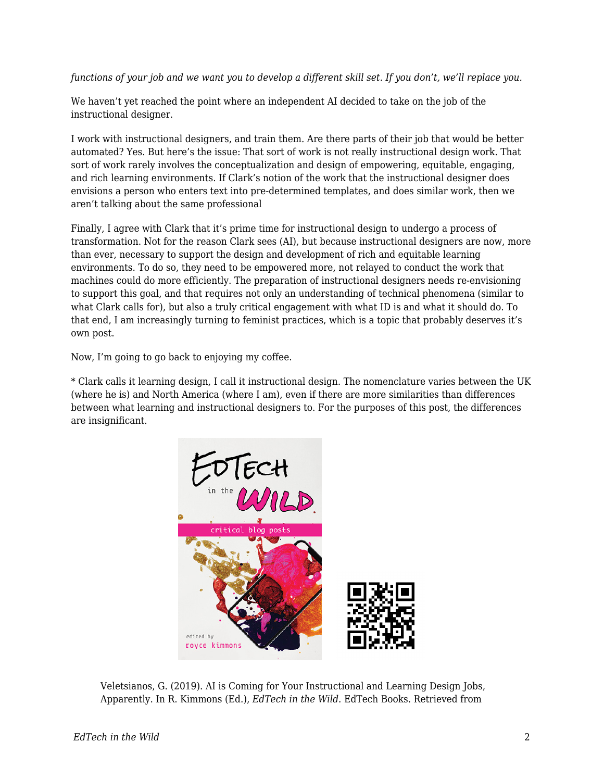*functions of your job and we want you to develop a different skill set. If you don't, we'll replace you.*

We haven't yet reached the point where an independent AI decided to take on the job of the instructional designer.

I work with instructional designers, and train them. Are there parts of their job that would be better automated? Yes. But here's the issue: That sort of work is not really instructional design work. That sort of work rarely involves the conceptualization and design of empowering, equitable, engaging, and rich learning environments. If Clark's notion of the work that the instructional designer does envisions a person who enters text into pre-determined templates, and does similar work, then we aren't talking about the same professional

Finally, I agree with Clark that it's prime time for instructional design to undergo a process of transformation. Not for the reason Clark sees (AI), but because instructional designers are now, more than ever, necessary to support the design and development of rich and equitable learning environments. To do so, they need to be empowered more, not relayed to conduct the work that machines could do more efficiently. The preparation of instructional designers needs re-envisioning to support this goal, and that requires not only an understanding of technical phenomena (similar to what Clark calls for), but also a truly critical engagement with what ID is and what it should do. To that end, I am increasingly turning to feminist practices, which is a topic that probably deserves it's own post.

Now, I'm going to go back to enjoying my coffee.

\* Clark calls it learning design, I call it instructional design. The nomenclature varies between the UK (where he is) and North America (where I am), even if there are more similarities than differences between what learning and instructional designers to. For the purposes of this post, the differences are insignificant.



Veletsianos, G. (2019). AI is Coming for Your Instructional and Learning Design Jobs, Apparently. In R. Kimmons (Ed.), *EdTech in the Wild*. EdTech Books. Retrieved from